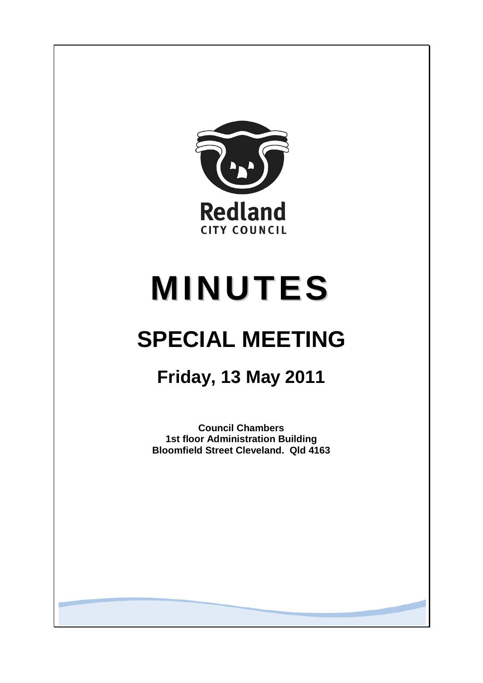

# **MINUTES**

# **SPECIAL MEETING**

# **Friday, 13 May 2011**

**Council Chambers 1st floor Administration Building Bloomfield Street Cleveland. Qld 4163**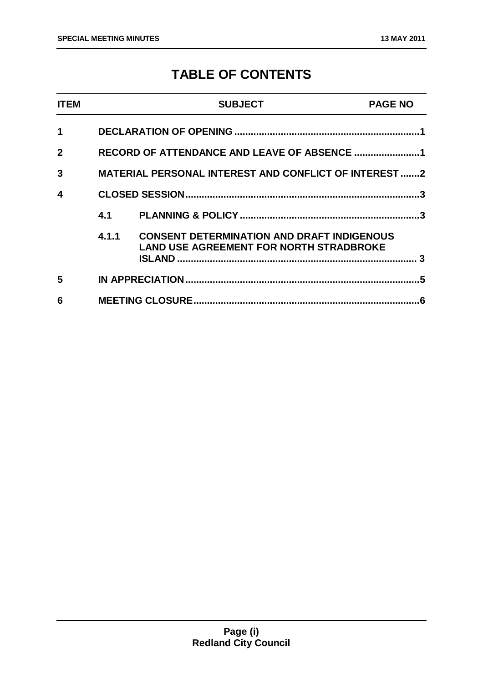### **TABLE OF CONTENTS**

| <b>ITEM</b>  |                                                              | <b>SUBJECT</b>                                                                                      | <b>PAGE NO</b> |
|--------------|--------------------------------------------------------------|-----------------------------------------------------------------------------------------------------|----------------|
| $\mathbf 1$  |                                                              |                                                                                                     |                |
| $\mathbf{2}$ | RECORD OF ATTENDANCE AND LEAVE OF ABSENCE 1                  |                                                                                                     |                |
| 3            | <b>MATERIAL PERSONAL INTEREST AND CONFLICT OF INTEREST 2</b> |                                                                                                     |                |
| 4            |                                                              |                                                                                                     | .3             |
|              | 4.1                                                          |                                                                                                     |                |
|              | 4.1.1                                                        | <b>CONSENT DETERMINATION AND DRAFT INDIGENOUS</b><br><b>LAND USE AGREEMENT FOR NORTH STRADBROKE</b> |                |
| 5            |                                                              |                                                                                                     |                |
| 6            |                                                              |                                                                                                     |                |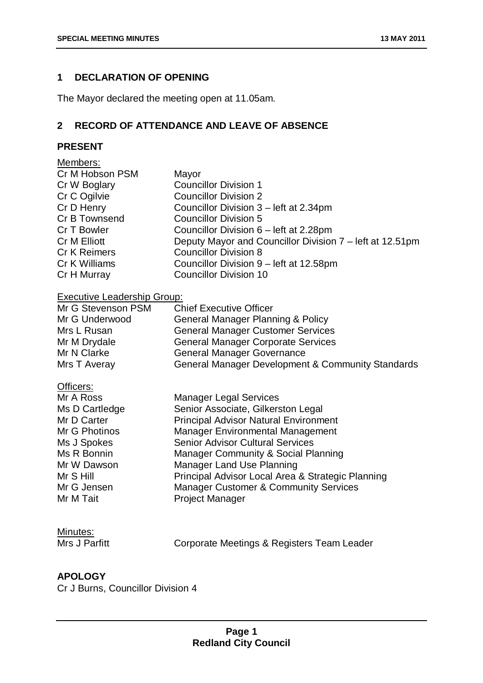#### **1 DECLARATION OF OPENING**

The Mayor declared the meeting open at 11.05am.

#### **2 RECORD OF ATTENDANCE AND LEAVE OF ABSENCE**

#### **PRESENT**

| Members:                           |                                                          |
|------------------------------------|----------------------------------------------------------|
| Cr M Hobson PSM                    | Mayor                                                    |
| Cr W Boglary                       | <b>Councillor Division 1</b>                             |
| Cr C Ogilvie                       | <b>Councillor Division 2</b>                             |
|                                    |                                                          |
| Cr D Henry                         | Councillor Division 3 – left at 2.34pm                   |
| Cr B Townsend                      | <b>Councillor Division 5</b>                             |
| Cr T Bowler                        | Councillor Division 6 – left at 2.28pm                   |
| Cr M Elliott                       | Deputy Mayor and Councillor Division 7 – left at 12.51pm |
| <b>Cr K Reimers</b>                | <b>Councillor Division 8</b>                             |
| Cr K Williams                      | Councillor Division 9 – left at 12.58pm                  |
| Cr H Murray                        | <b>Councillor Division 10</b>                            |
| <b>Executive Leadership Group:</b> |                                                          |
| Mr G Stevenson PSM                 | <b>Chief Executive Officer</b>                           |
| Mr G Underwood                     | <b>General Manager Planning &amp; Policy</b>             |
| Mrs L Rusan                        | <b>General Manager Customer Services</b>                 |
| Mr M Drydale                       | <b>General Manager Corporate Services</b>                |
| Mr N Clarke                        | <b>General Manager Governance</b>                        |
| Mrs T Averay                       | General Manager Development & Community Standards        |

#### Officers:

| Mr A Ross      | <b>Manager Legal Services</b>                     |
|----------------|---------------------------------------------------|
| Ms D Cartledge | Senior Associate, Gilkerston Legal                |
| Mr D Carter    | <b>Principal Advisor Natural Environment</b>      |
| Mr G Photinos  | <b>Manager Environmental Management</b>           |
| Ms J Spokes    | <b>Senior Advisor Cultural Services</b>           |
| Ms R Bonnin    | Manager Community & Social Planning               |
| Mr W Dawson    | <b>Manager Land Use Planning</b>                  |
| Mr S Hill      | Principal Advisor Local Area & Strategic Planning |
| Mr G Jensen    | <b>Manager Customer &amp; Community Services</b>  |
| Mr M Tait      | <b>Project Manager</b>                            |

## **Minutes:**<br>Mrs J Parfitt

Corporate Meetings & Registers Team Leader

#### **APOLOGY**

Cr J Burns, Councillor Division 4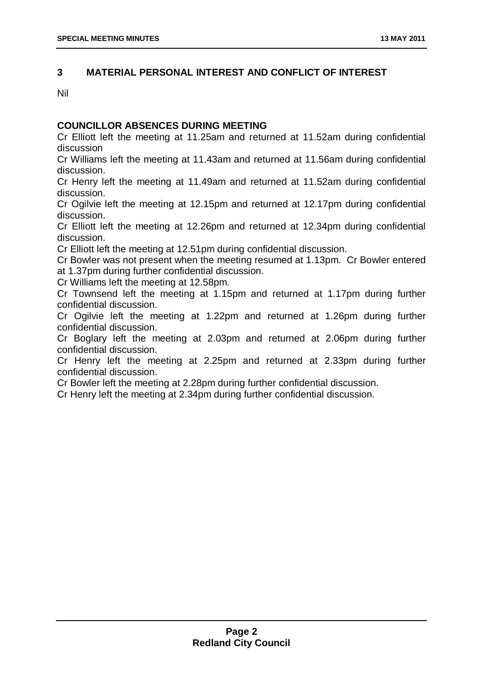#### **3 MATERIAL PERSONAL INTEREST AND CONFLICT OF INTEREST**

Nil

#### **COUNCILLOR ABSENCES DURING MEETING**

Cr Elliott left the meeting at 11.25am and returned at 11.52am during confidential discussion

Cr Williams left the meeting at 11.43am and returned at 11.56am during confidential discussion.

Cr Henry left the meeting at 11.49am and returned at 11.52am during confidential discussion.

Cr Ogilvie left the meeting at 12.15pm and returned at 12.17pm during confidential discussion.

Cr Elliott left the meeting at 12.26pm and returned at 12.34pm during confidential discussion.

Cr Elliott left the meeting at 12.51pm during confidential discussion.

Cr Bowler was not present when the meeting resumed at 1.13pm. Cr Bowler entered at 1.37pm during further confidential discussion.

Cr Williams left the meeting at 12.58pm.

Cr Townsend left the meeting at 1.15pm and returned at 1.17pm during further confidential discussion.

Cr Ogilvie left the meeting at 1.22pm and returned at 1.26pm during further confidential discussion.

Cr Boglary left the meeting at 2.03pm and returned at 2.06pm during further confidential discussion.

Cr Henry left the meeting at 2.25pm and returned at 2.33pm during further confidential discussion.

Cr Bowler left the meeting at 2.28pm during further confidential discussion.

Cr Henry left the meeting at 2.34pm during further confidential discussion.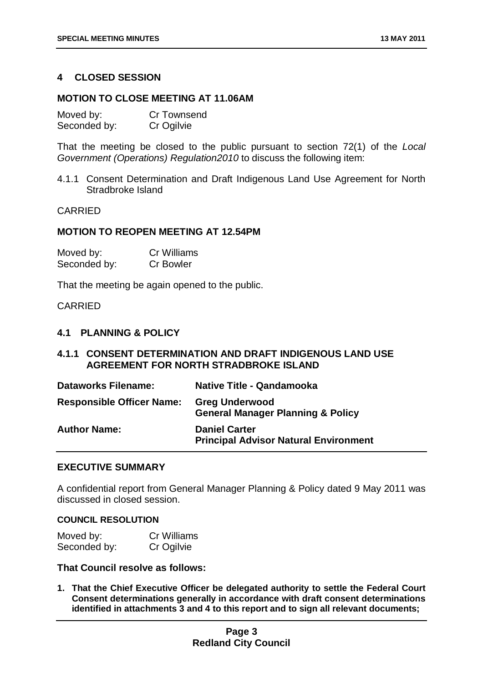#### **4 CLOSED SESSION**

#### **MOTION TO CLOSE MEETING AT 11.06AM**

| Moved by:    | Cr Townsend |
|--------------|-------------|
| Seconded by: | Cr Ogilvie  |

That the meeting be closed to the public pursuant to section 72(1) of the *Local Government (Operations) Regulation2010* to discuss the following item:

4.1.1 Consent Determination and Draft Indigenous Land Use Agreement for North Stradbroke Island

#### CARRIED

#### **MOTION TO REOPEN MEETING AT 12.54PM**

| Moved by:    | <b>Cr Williams</b> |
|--------------|--------------------|
| Seconded by: | <b>Cr Bowler</b>   |

That the meeting be again opened to the public.

#### CARRIED

#### **4.1 PLANNING & POLICY**

#### **4.1.1 CONSENT DETERMINATION AND DRAFT INDIGENOUS LAND USE AGREEMENT FOR NORTH STRADBROKE ISLAND**

| <b>Dataworks Filename:</b>       | <b>Native Title - Qandamooka</b>                                      |
|----------------------------------|-----------------------------------------------------------------------|
| <b>Responsible Officer Name:</b> | <b>Greg Underwood</b><br><b>General Manager Planning &amp; Policy</b> |
| <b>Author Name:</b>              | <b>Daniel Carter</b><br><b>Principal Advisor Natural Environment</b>  |

#### **EXECUTIVE SUMMARY**

A confidential report from General Manager Planning & Policy dated 9 May 2011 was discussed in closed session.

#### **COUNCIL RESOLUTION**

| Moved by:    | Cr Williams |
|--------------|-------------|
| Seconded by: | Cr Ogilvie  |

#### **That Council resolve as follows:**

**1. That the Chief Executive Officer be delegated authority to settle the Federal Court Consent determinations generally in accordance with draft consent determinations identified in attachments 3 and 4 to this report and to sign all relevant documents;**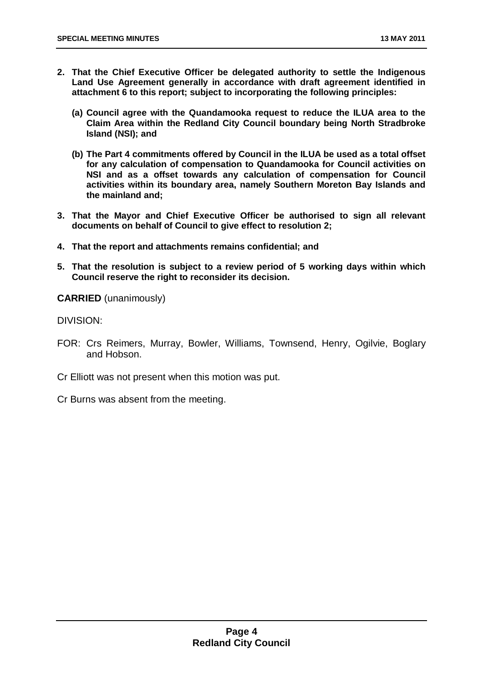- **2. That the Chief Executive Officer be delegated authority to settle the Indigenous Land Use Agreement generally in accordance with draft agreement identified in attachment 6 to this report; subject to incorporating the following principles:** 
	- **(a) Council agree with the Quandamooka request to reduce the ILUA area to the Claim Area within the Redland City Council boundary being North Stradbroke Island (NSI); and**
	- **(b) The Part 4 commitments offered by Council in the ILUA be used as a total offset for any calculation of compensation to Quandamooka for Council activities on NSI and as a offset towards any calculation of compensation for Council activities within its boundary area, namely Southern Moreton Bay Islands and the mainland and;**
- **3. That the Mayor and Chief Executive Officer be authorised to sign all relevant documents on behalf of Council to give effect to resolution 2;**
- **4. That the report and attachments remains confidential; and**
- **5. That the resolution is subject to a review period of 5 working days within which Council reserve the right to reconsider its decision.**

**CARRIED** (unanimously)

DIVISION:

- FOR: Crs Reimers, Murray, Bowler, Williams, Townsend, Henry, Ogilvie, Boglary and Hobson.
- Cr Elliott was not present when this motion was put.

Cr Burns was absent from the meeting.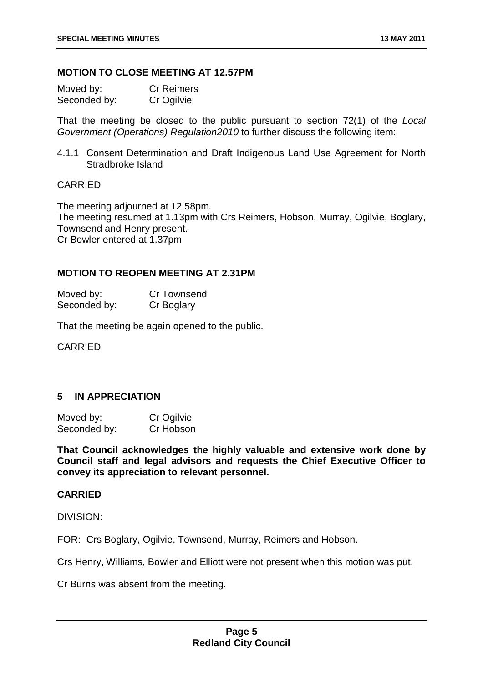#### **MOTION TO CLOSE MEETING AT 12.57PM**

| Moved by:    | <b>Cr Reimers</b> |
|--------------|-------------------|
| Seconded by: | Cr Ogilvie        |

That the meeting be closed to the public pursuant to section 72(1) of the *Local Government (Operations) Regulation2010* to further discuss the following item:

4.1.1 Consent Determination and Draft Indigenous Land Use Agreement for North Stradbroke Island

#### CARRIED

The meeting adjourned at 12.58pm. The meeting resumed at 1.13pm with Crs Reimers, Hobson, Murray, Ogilvie, Boglary, Townsend and Henry present. Cr Bowler entered at 1.37pm

#### **MOTION TO REOPEN MEETING AT 2.31PM**

| Moved by:    | <b>Cr Townsend</b> |
|--------------|--------------------|
| Seconded by: | Cr Boglary         |

That the meeting be again opened to the public.

CARRIED

#### **5 IN APPRECIATION**

| Moved by:    | Cr Ogilvie |
|--------------|------------|
| Seconded by: | Cr Hobson  |

**That Council acknowledges the highly valuable and extensive work done by Council staff and legal advisors and requests the Chief Executive Officer to convey its appreciation to relevant personnel.**

#### **CARRIED**

DIVISION:

FOR: Crs Boglary, Ogilvie, Townsend, Murray, Reimers and Hobson.

Crs Henry, Williams, Bowler and Elliott were not present when this motion was put.

Cr Burns was absent from the meeting.